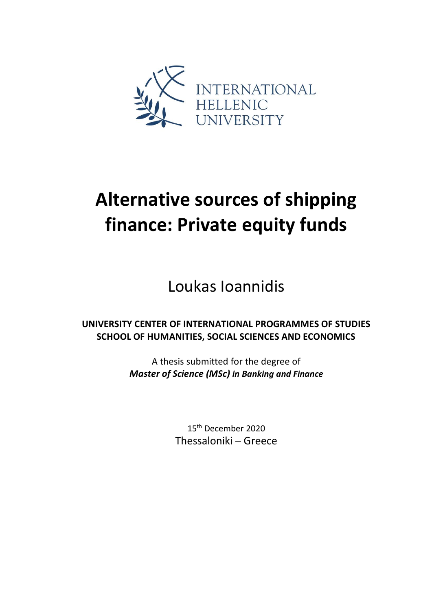

# **Alternative sources of shipping finance: Private equity funds**

Loukas Ioannidis

**UNIVERSITY CENTER OF INTERNATIONAL PROGRAMMES OF STUDIES SCHOOL OF HUMANITIES, SOCIAL SCIENCES AND ECONOMICS**

> A thesis submitted for the degree of *Master of Science (MSc) in Banking and Finance*

> > 15th December 2020 Thessaloniki – Greece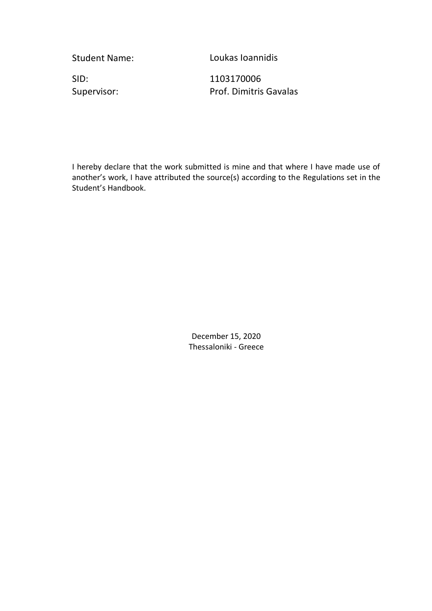Student Name: Loukas Ioannidis

SID: 1103170006

Supervisor: Prof. Dimitris Gavalas

I hereby declare that the work submitted is mine and that where I have made use of another's work, I have attributed the source(s) according to the Regulations set in the Student's Handbook.

> December 15, 2020 Thessaloniki - Greece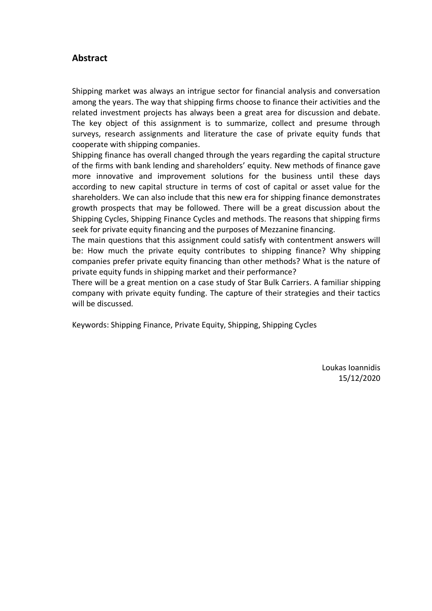# <span id="page-2-0"></span>**Abstract**

Shipping market was always an intrigue sector for financial analysis and conversation among the years. The way that shipping firms choose to finance their activities and the related investment projects has always been a great area for discussion and debate. The key object of this assignment is to summarize, collect and presume through surveys, research assignments and literature the case of private equity funds that cooperate with shipping companies.

Shipping finance has overall changed through the years regarding the capital structure of the firms with bank lending and shareholders' equity. New methods of finance gave more innovative and improvement solutions for the business until these days according to new capital structure in terms of cost of capital or asset value for the shareholders. We can also include that this new era for shipping finance demonstrates growth prospects that may be followed. There will be a great discussion about the Shipping Cycles, Shipping Finance Cycles and methods. The reasons that shipping firms seek for private equity financing and the purposes of Mezzanine financing.

The main questions that this assignment could satisfy with contentment answers will be: How much the private equity contributes to shipping finance? Why shipping companies prefer private equity financing than other methods? What is the nature of private equity funds in shipping market and their performance?

There will be a great mention on a case study of Star Bulk Carriers. A familiar shipping company with private equity funding. The capture of their strategies and their tactics will be discussed.

Keywords: Shipping Finance, Private Equity, Shipping, Shipping Cycles

Loukas Ioannidis 15/12/2020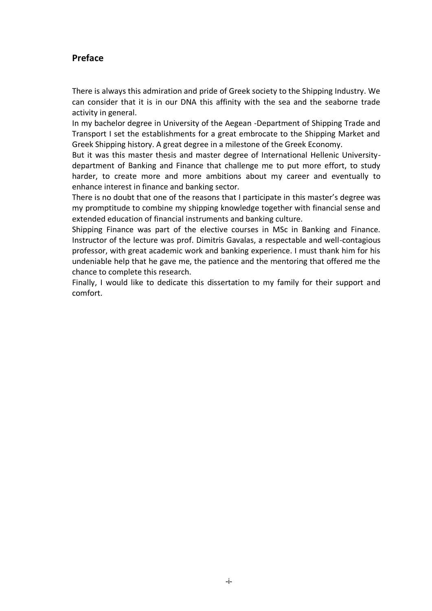# <span id="page-3-0"></span>**Preface**

There is always this admiration and pride of Greek society to the Shipping Industry. We can consider that it is in our DNA this affinity with the sea and the seaborne trade activity in general.

In my bachelor degree in University of the Aegean -Department of Shipping Trade and Transport I set the establishments for a great embrocate to the Shipping Market and Greek Shipping history. A great degree in a milestone of the Greek Economy.

But it was this master thesis and master degree of International Hellenic Universitydepartment of Banking and Finance that challenge me to put more effort, to study harder, to create more and more ambitions about my career and eventually to enhance interest in finance and banking sector.

There is no doubt that one of the reasons that I participate in this master's degree was my promptitude to combine my shipping knowledge together with financial sense and extended education of financial instruments and banking culture.

Shipping Finance was part of the elective courses in MSc in Banking and Finance. Instructor of the lecture was prof. Dimitris Gavalas, a respectable and well-contagious professor, with great academic work and banking experience. I must thank him for his undeniable help that he gave me, the patience and the mentoring that offered me the chance to complete this research.

Finally, I would like to dedicate this dissertation to my family for their support and comfort.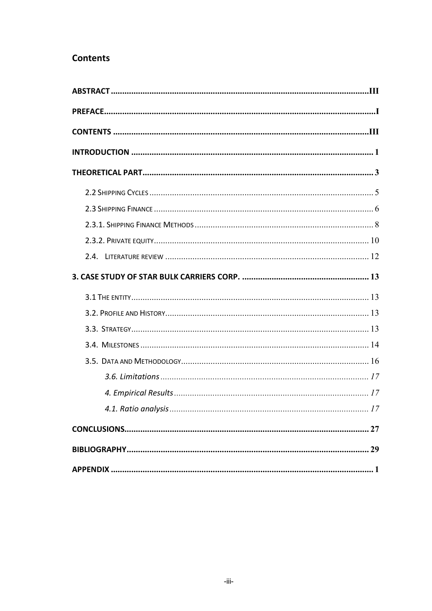# <span id="page-5-0"></span>**Contents**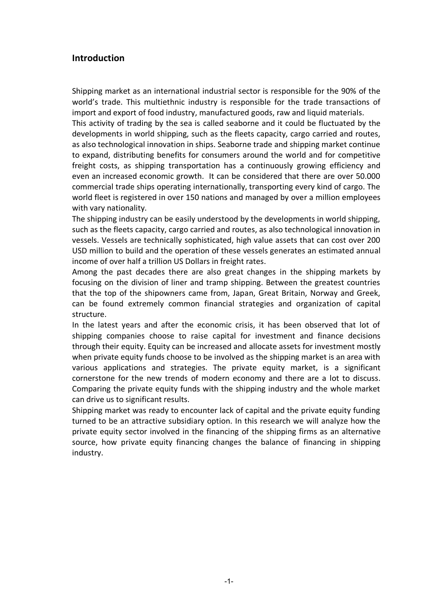# <span id="page-6-0"></span>**Introduction**

Shipping market as an international industrial sector is responsible for the 90% of the world's trade. This multiethnic industry is responsible for the trade transactions of import and export of food industry, manufactured goods, raw and liquid materials.

This activity of trading by the sea is called seaborne and it could be fluctuated by the developments in world shipping, such as the fleets capacity, cargo carried and routes, as also technological innovation in ships. Seaborne trade and shipping market continue to expand, distributing benefits for consumers around the world and for competitive freight costs, as shipping transportation has a continuously growing efficiency and even an increased economic growth. It can be considered that there are over 50.000 commercial trade ships operating internationally, transporting every kind of cargo. The world fleet is registered in over 150 nations and managed by over a million employees with vary nationality.

The shipping industry can be easily understood by the developments in world shipping, such as the fleets capacity, cargo carried and routes, as also technological innovation in vessels. Vessels are technically sophisticated, high value assets that can cost over 200 USD million to build and the operation of these vessels generates an estimated annual income of over half a trillion US Dollars in freight rates.

Among the past decades there are also great changes in the shipping markets by focusing on the division of liner and tramp shipping. Between the greatest countries that the top of the shipowners came from, Japan, Great Britain, Norway and Greek, can be found extremely common financial strategies and organization of capital structure.

In the latest years and after the economic crisis, it has been observed that lot of shipping companies choose to raise capital for investment and finance decisions through their equity. Equity can be increased and allocate assets for investment mostly when private equity funds choose to be involved as the shipping market is an area with various applications and strategies. The private equity market, is a significant cornerstone for the new trends of modern economy and there are a lot to discuss. Comparing the private equity funds with the shipping industry and the whole market can drive us to significant results.

Shipping market was ready to encounter lack of capital and the private equity funding turned to be an attractive subsidiary option. In this research we will analyze how the private equity sector involved in the financing of the shipping firms as an alternative source, how private equity financing changes the balance of financing in shipping industry.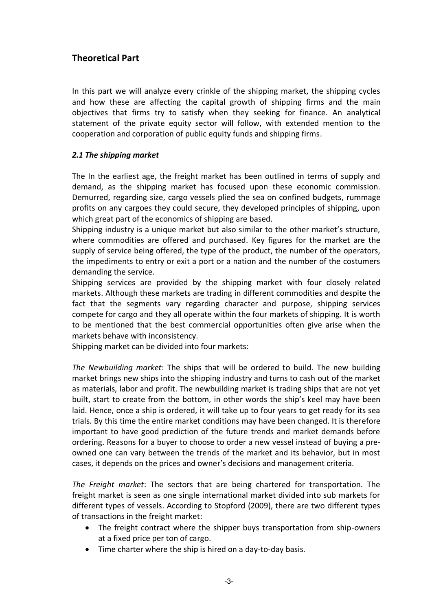# <span id="page-8-0"></span>**Theoretical Part**

In this part we will analyze every crinkle of the shipping market, the shipping cycles and how these are affecting the capital growth of shipping firms and the main objectives that firms try to satisfy when they seeking for finance. An analytical statement of the private equity sector will follow, with extended mention to the cooperation and corporation of public equity funds and shipping firms.

#### *2.1 The shipping market*

The In the earliest age, the freight market has been outlined in terms of supply and demand, as the shipping market has focused upon these economic commission. Demurred, regarding size, cargo vessels plied the sea on confined budgets, rummage profits on any cargoes they could secure, they developed principles of shipping, upon which great part of the economics of shipping are based.

Shipping industry is a unique market but also similar to the other market's structure, where commodities are offered and purchased. Key figures for the market are the supply of service being offered, the type of the product, the number of the operators, the impediments to entry or exit a port or a nation and the number of the costumers demanding the service.

Shipping services are provided by the shipping market with four closely related markets. Although these markets are trading in different commodities and despite the fact that the segments vary regarding character and purpose, shipping services compete for cargo and they all operate within the four markets of shipping. It is worth to be mentioned that the best commercial opportunities often give arise when the markets behave with inconsistency.

Shipping market can be divided into four markets:

*The Newbuilding market*: The ships that will be ordered to build. The new building market brings new ships into the shipping industry and turns to cash out of the market as materials, labor and profit. The newbuilding market is trading ships that are not yet built, start to create from the bottom, in other words the ship's keel may have been laid. Hence, once a ship is ordered, it will take up to four years to get ready for its sea trials. By this time the entire market conditions may have been changed. It is therefore important to have good prediction of the future trends and market demands before ordering. Reasons for a buyer to choose to order a new vessel instead of buying a preowned one can vary between the trends of the market and its behavior, but in most cases, it depends on the prices and owner's decisions and management criteria.

*The Freight market*: The sectors that are being chartered for transportation. The freight market is seen as one single international market divided into sub markets for different types of vessels. According to Stopford (2009), there are two different types of transactions in the freight market:

- The freight contract where the shipper buys transportation from ship-owners at a fixed price per ton of cargo.
- Time charter where the ship is hired on a day-to-day basis.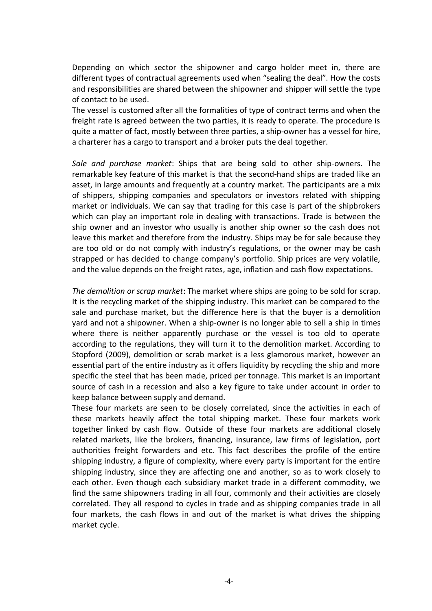Depending on which sector the shipowner and cargo holder meet in, there are different types of contractual agreements used when "sealing the deal". How the costs and responsibilities are shared between the shipowner and shipper will settle the type of contact to be used.

The vessel is customed after all the formalities of type of contract terms and when the freight rate is agreed between the two parties, it is ready to operate. The procedure is quite a matter of fact, mostly between three parties, a ship-owner has a vessel for hire, a charterer has a cargo to transport and a broker puts the deal together.

*Sale and purchase market*: Ships that are being sold to other ship-owners. The remarkable key feature of this market is that the second-hand ships are traded like an asset, in large amounts and frequently at a country market. The participants are a mix of shippers, shipping companies and speculators or investors related with shipping market or individuals. We can say that trading for this case is part of the shipbrokers which can play an important role in dealing with transactions. Trade is between the ship owner and an investor who usually is another ship owner so the cash does not leave this market and therefore from the industry. Ships may be for sale because they are too old or do not comply with industry's regulations, or the owner may be cash strapped or has decided to change company's portfolio. Ship prices are very volatile, and the value depends on the freight rates, age, inflation and cash flow expectations.

*The demolition or scrap market*: The market where ships are going to be sold for scrap. It is the recycling market of the shipping industry. This market can be compared to the sale and purchase market, but the difference here is that the buyer is a demolition yard and not a shipowner. When a ship-owner is no longer able to sell a ship in times where there is neither apparently purchase or the vessel is too old to operate according to the regulations, they will turn it to the demolition market. According to Stopford (2009), demolition or scrab market is a less glamorous market, however an essential part of the entire industry as it offers liquidity by recycling the ship and more specific the steel that has been made, priced per tonnage. This market is an important source of cash in a recession and also a key figure to take under account in order to keep balance between supply and demand.

These four markets are seen to be closely correlated, since the activities in each of these markets heavily affect the total shipping market. These four markets work together linked by cash flow. Outside of these four markets are additional closely related markets, like the brokers, financing, insurance, law firms of legislation, port authorities freight forwarders and etc. This fact describes the profile of the entire shipping industry, a figure of complexity, where every party is important for the entire shipping industry, since they are affecting one and another, so as to work closely to each other. Even though each subsidiary market trade in a different commodity, we find the same shipowners trading in all four, commonly and their activities are closely correlated. They all respond to cycles in trade and as shipping companies trade in all four markets, the cash flows in and out of the market is what drives the shipping market cycle.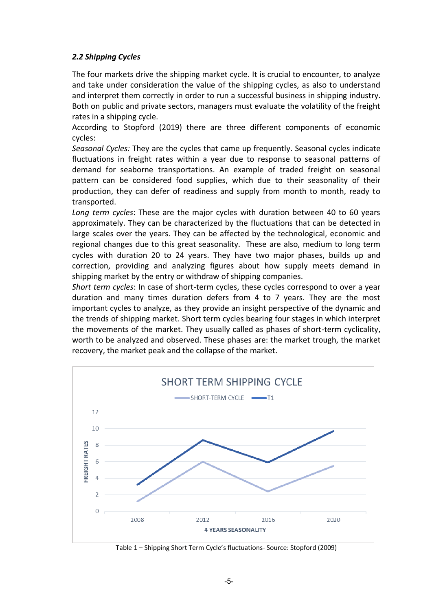#### <span id="page-10-0"></span>*2.2 Shipping Cycles*

The four markets drive the shipping market cycle. It is crucial to encounter, to analyze and take under consideration the value of the shipping cycles, as also to understand and interpret them correctly in order to run a successful business in shipping industry. Both on public and private sectors, managers must evaluate the volatility of the freight rates in a shipping cycle.

According to Stopford (2019) there are three different components of economic cycles:

*Seasonal Cycles:* They are the cycles that came up frequently. Seasonal cycles indicate fluctuations in freight rates within a year due to response to seasonal patterns of demand for seaborne transportations. An example of traded freight on seasonal pattern can be considered food supplies, which due to their seasonality of their production, they can defer of readiness and supply from month to month, ready to transported.

*Long term cycles*: These are the major cycles with duration between 40 to 60 years approximately. They can be characterized by the fluctuations that can be detected in large scales over the years. They can be affected by the technological, economic and regional changes due to this great seasonality. These are also, medium to long term cycles with duration 20 to 24 years. They have two major phases, builds up and correction, providing and analyzing figures about how supply meets demand in shipping market by the entry or withdraw of shipping companies.

*Short term cycles*: In case of short-term cycles, these cycles correspond to over a year duration and many times duration defers from 4 to 7 years. They are the most important cycles to analyze, as they provide an insight perspective of the dynamic and the trends of shipping market. Short term cycles bearing four stages in which interpret the movements of the market. They usually called as phases of short-term cyclicality, worth to be analyzed and observed. These phases are: the market trough, the market recovery, the market peak and the collapse of the market.



Table 1 – Shipping Short Term Cycle's fluctuations- Source: Stopford (2009)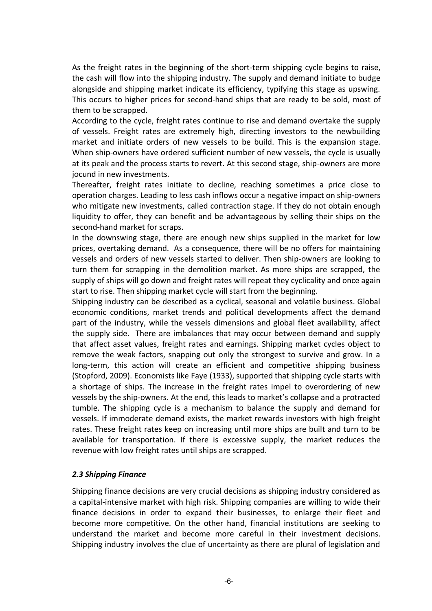As the freight rates in the beginning of the short-term shipping cycle begins to raise, the cash will flow into the shipping industry. The supply and demand initiate to budge alongside and shipping market indicate its efficiency, typifying this stage as upswing. This occurs to higher prices for second-hand ships that are ready to be sold, most of them to be scrapped.

According to the cycle, freight rates continue to rise and demand overtake the supply of vessels. Freight rates are extremely high, directing investors to the newbuilding market and initiate orders of new vessels to be build. This is the expansion stage. When ship-owners have ordered sufficient number of new vessels, the cycle is usually at its peak and the process starts to revert. At this second stage, ship-owners are more jocund in new investments.

Thereafter, freight rates initiate to decline, reaching sometimes a price close to operation charges. Leading to less cash inflows occur a negative impact on ship-owners who mitigate new investments, called contraction stage. If they do not obtain enough liquidity to offer, they can benefit and be advantageous by selling their ships on the second-hand market for scraps.

In the downswing stage, there are enough new ships supplied in the market for low prices, overtaking demand. As a consequence, there will be no offers for maintaining vessels and orders of new vessels started to deliver. Then ship-owners are looking to turn them for scrapping in the demolition market. As more ships are scrapped, the supply of ships will go down and freight rates will repeat they cyclicality and once again start to rise. Then shipping market cycle will start from the beginning.

Shipping industry can be described as a cyclical, seasonal and volatile business. Global economic conditions, market trends and political developments affect the demand part of the industry, while the vessels dimensions and global fleet availability, affect the supply side. There are imbalances that may occur between demand and supply that affect asset values, freight rates and earnings. Shipping market cycles object to remove the weak factors, snapping out only the strongest to survive and grow. In a long-term, this action will create an efficient and competitive shipping business (Stopford, 2009). Economists like Faye (1933), supported that shipping cycle starts with a shortage of ships. The increase in the freight rates impel to overordering of new vessels by the ship-owners. At the end, this leads to market's collapse and a protracted tumble. The shipping cycle is a mechanism to balance the supply and demand for vessels. If immoderate demand exists, the market rewards investors with high freight rates. These freight rates keep on increasing until more ships are built and turn to be available for transportation. If there is excessive supply, the market reduces the revenue with low freight rates until ships are scrapped.

#### <span id="page-11-0"></span>*2.3 Shipping Finance*

Shipping finance decisions are very crucial decisions as shipping industry considered as a capital-intensive market with high risk. Shipping companies are willing to wide their finance decisions in order to expand their businesses, to enlarge their fleet and become more competitive. On the other hand, financial institutions are seeking to understand the market and become more careful in their investment decisions. Shipping industry involves the clue of uncertainty as there are plural of legislation and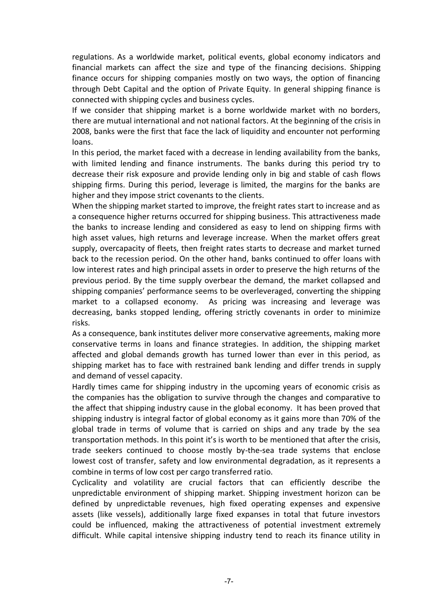regulations. As a worldwide market, political events, global economy indicators and financial markets can affect the size and type of the financing decisions. Shipping finance occurs for shipping companies mostly on two ways, the option of financing through Debt Capital and the option of Private Equity. In general shipping finance is connected with shipping cycles and business cycles.

If we consider that shipping market is a borne worldwide market with no borders, there are mutual international and not national factors. At the beginning of the crisis in 2008, banks were the first that face the lack of liquidity and encounter not performing loans.

In this period, the market faced with a decrease in lending availability from the banks, with limited lending and finance instruments. The banks during this period try to decrease their risk exposure and provide lending only in big and stable of cash flows shipping firms. During this period, leverage is limited, the margins for the banks are higher and they impose strict covenants to the clients.

When the shipping market started to improve, the freight rates start to increase and as a consequence higher returns occurred for shipping business. This attractiveness made the banks to increase lending and considered as easy to lend on shipping firms with high asset values, high returns and leverage increase. When the market offers great supply, overcapacity of fleets, then freight rates starts to decrease and market turned back to the recession period. On the other hand, banks continued to offer loans with low interest rates and high principal assets in order to preserve the high returns of the previous period. By the time supply overbear the demand, the market collapsed and shipping companies' performance seems to be overleveraged, converting the shipping market to a collapsed economy. As pricing was increasing and leverage was decreasing, banks stopped lending, offering strictly covenants in order to minimize risks.

As a consequence, bank institutes deliver more conservative agreements, making more conservative terms in loans and finance strategies. In addition, the shipping market affected and global demands growth has turned lower than ever in this period, as shipping market has to face with restrained bank lending and differ trends in supply and demand of vessel capacity.

Hardly times came for shipping industry in the upcoming years of economic crisis as the companies has the obligation to survive through the changes and comparative to the affect that shipping industry cause in the global economy. It has been proved that shipping industry is integral factor of global economy as it gains more than 70% of the global trade in terms of volume that is carried on ships and any trade by the sea transportation methods. In this point it's is worth to be mentioned that after the crisis, trade seekers continued to choose mostly by-the-sea trade systems that enclose lowest cost of transfer, safety and low environmental degradation, as it represents a combine in terms of low cost per cargo transferred ratio.

Cyclicality and volatility are crucial factors that can efficiently describe the unpredictable environment of shipping market. Shipping investment horizon can be defined by unpredictable revenues, high fixed operating expenses and expensive assets (like vessels), additionally large fixed expanses in total that future investors could be influenced, making the attractiveness of potential investment extremely difficult. While capital intensive shipping industry tend to reach its finance utility in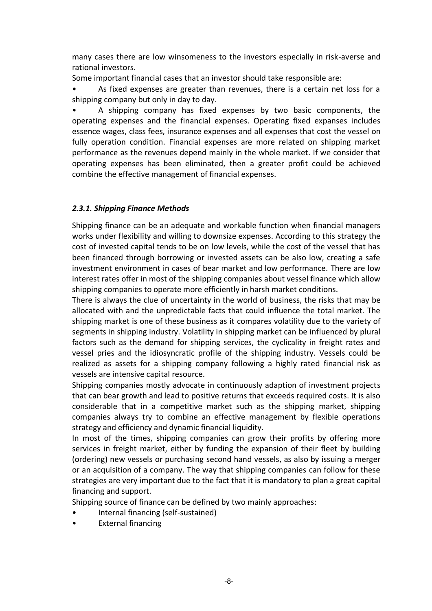many cases there are low winsomeness to the investors especially in risk-averse and rational investors.

Some important financial cases that an investor should take responsible are:

• As fixed expenses are greater than revenues, there is a certain net loss for a shipping company but only in day to day.

• A shipping company has fixed expenses by two basic components, the operating expenses and the financial expenses. Operating fixed expanses includes essence wages, class fees, insurance expenses and all expenses that cost the vessel on fully operation condition. Financial expenses are more related on shipping market performance as the revenues depend mainly in the whole market. If we consider that operating expenses has been eliminated, then a greater profit could be achieved combine the effective management of financial expenses.

# <span id="page-13-0"></span>*2.3.1. Shipping Finance Methods*

Shipping finance can be an adequate and workable function when financial managers works under flexibility and willing to downsize expenses. According to this strategy the cost of invested capital tends to be on low levels, while the cost of the vessel that has been financed through borrowing or invested assets can be also low, creating a safe investment environment in cases of bear market and low performance. There are low interest rates offer in most of the shipping companies about vessel finance which allow shipping companies to operate more efficiently in harsh market conditions.

There is always the clue of uncertainty in the world of business, the risks that may be allocated with and the unpredictable facts that could influence the total market. The shipping market is one of these business as it compares volatility due to the variety of segments in shipping industry. Volatility in shipping market can be influenced by plural factors such as the demand for shipping services, the cyclicality in freight rates and vessel pries and the idiosyncratic profile of the shipping industry. Vessels could be realized as assets for a shipping company following a highly rated financial risk as vessels are intensive capital resource.

Shipping companies mostly advocate in continuously adaption of investment projects that can bear growth and lead to positive returns that exceeds required costs. It is also considerable that in a competitive market such as the shipping market, shipping companies always try to combine an effective management by flexible operations strategy and efficiency and dynamic financial liquidity.

In most of the times, shipping companies can grow their profits by offering more services in freight market, either by funding the expansion of their fleet by building (ordering) new vessels or purchasing second hand vessels, as also by issuing a merger or an acquisition of a company. The way that shipping companies can follow for these strategies are very important due to the fact that it is mandatory to plan a great capital financing and support.

Shipping source of finance can be defined by two mainly approaches:

- Internal financing (self-sustained)
- External financing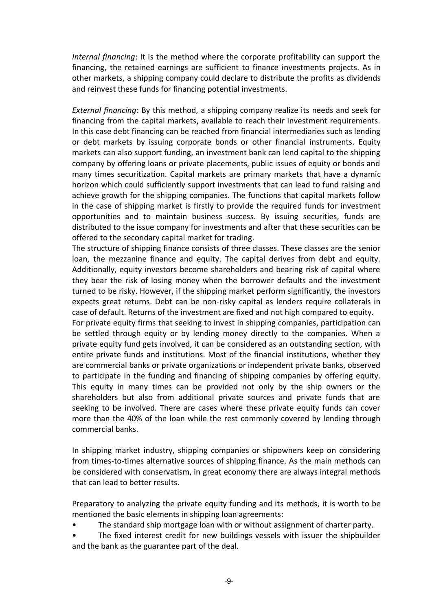*Internal financing*: It is the method where the corporate profitability can support the financing, the retained earnings are sufficient to finance investments projects. As in other markets, a shipping company could declare to distribute the profits as dividends and reinvest these funds for financing potential investments.

*External financing*: By this method, a shipping company realize its needs and seek for financing from the capital markets, available to reach their investment requirements. In this case debt financing can be reached from financial intermediaries such as lending or debt markets by issuing corporate bonds or other financial instruments. Equity markets can also support funding, an investment bank can lend capital to the shipping company by offering loans or private placements, public issues of equity or bonds and many times securitization. Capital markets are primary markets that have a dynamic horizon which could sufficiently support investments that can lead to fund raising and achieve growth for the shipping companies. The functions that capital markets follow in the case of shipping market is firstly to provide the required funds for investment opportunities and to maintain business success. By issuing securities, funds are distributed to the issue company for investments and after that these securities can be offered to the secondary capital market for trading.

The structure of shipping finance consists of three classes. These classes are the senior loan, the mezzanine finance and equity. The capital derives from debt and equity. Additionally, equity investors become shareholders and bearing risk of capital where they bear the risk of losing money when the borrower defaults and the investment turned to be risky. However, if the shipping market perform significantly, the investors expects great returns. Debt can be non-risky capital as lenders require collaterals in case of default. Returns of the investment are fixed and not high compared to equity.

For private equity firms that seeking to invest in shipping companies, participation can be settled through equity or by lending money directly to the companies. When a private equity fund gets involved, it can be considered as an outstanding section, with entire private funds and institutions. Most of the financial institutions, whether they are commercial banks or private organizations or independent private banks, observed to participate in the funding and financing of shipping companies by offering equity. This equity in many times can be provided not only by the ship owners or the shareholders but also from additional private sources and private funds that are seeking to be involved. There are cases where these private equity funds can cover more than the 40% of the loan while the rest commonly covered by lending through commercial banks.

In shipping market industry, shipping companies or shipowners keep on considering from times-to-times alternative sources of shipping finance. As the main methods can be considered with conservatism, in great economy there are always integral methods that can lead to better results.

Preparatory to analyzing the private equity funding and its methods, it is worth to be mentioned the basic elements in shipping loan agreements:

- The standard ship mortgage loan with or without assignment of charter party.
- The fixed interest credit for new buildings vessels with issuer the shipbuilder and the bank as the guarantee part of the deal.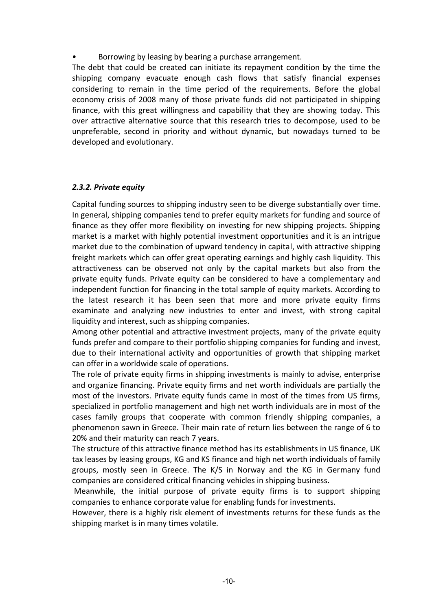• Borrowing by leasing by bearing a purchase arrangement.

The debt that could be created can initiate its repayment condition by the time the shipping company evacuate enough cash flows that satisfy financial expenses considering to remain in the time period of the requirements. Before the global economy crisis of 2008 many of those private funds did not participated in shipping finance, with this great willingness and capability that they are showing today. This over attractive alternative source that this research tries to decompose, used to be unpreferable, second in priority and without dynamic, but nowadays turned to be developed and evolutionary.

#### <span id="page-15-0"></span>*2.3.2. Private equity*

Capital funding sources to shipping industry seen to be diverge substantially over time. In general, shipping companies tend to prefer equity markets for funding and source of finance as they offer more flexibility on investing for new shipping projects. Shipping market is a market with highly potential investment opportunities and it is an intrigue market due to the combination of upward tendency in capital, with attractive shipping freight markets which can offer great operating earnings and highly cash liquidity. This attractiveness can be observed not only by the capital markets but also from the private equity funds. Private equity can be considered to have a complementary and independent function for financing in the total sample of equity markets. According to the latest research it has been seen that more and more private equity firms examinate and analyzing new industries to enter and invest, with strong capital liquidity and interest, such as shipping companies.

Among other potential and attractive investment projects, many of the private equity funds prefer and compare to their portfolio shipping companies for funding and invest, due to their international activity and opportunities of growth that shipping market can offer in a worldwide scale of operations.

The role of private equity firms in shipping investments is mainly to advise, enterprise and organize financing. Private equity firms and net worth individuals are partially the most of the investors. Private equity funds came in most of the times from US firms, specialized in portfolio management and high net worth individuals are in most of the cases family groups that cooperate with common friendly shipping companies, a phenomenon sawn in Greece. Their main rate of return lies between the range of 6 to 20% and their maturity can reach 7 years.

The structure of this attractive finance method has its establishments in US finance, UK tax leases by leasing groups, KG and KS finance and high net worth individuals of family groups, mostly seen in Greece. The K/S in Norway and the KG in Germany fund companies are considered critical financing vehicles in shipping business.

Meanwhile, the initial purpose of private equity firms is to support shipping companies to enhance corporate value for enabling funds for investments.

However, there is a highly risk element of investments returns for these funds as the shipping market is in many times volatile.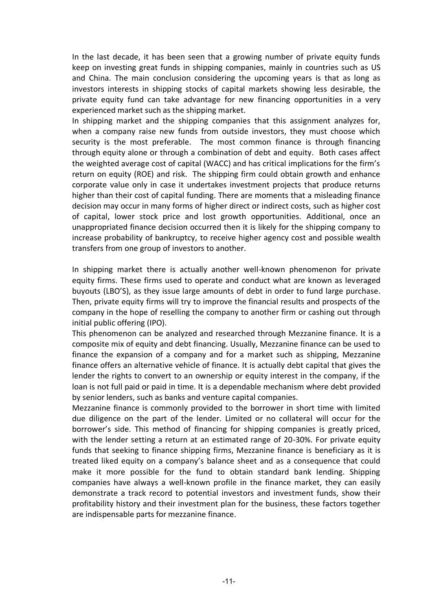In the last decade, it has been seen that a growing number of private equity funds keep on investing great funds in shipping companies, mainly in countries such as US and China. The main conclusion considering the upcoming years is that as long as investors interests in shipping stocks of capital markets showing less desirable, the private equity fund can take advantage for new financing opportunities in a very experienced market such as the shipping market.

In shipping market and the shipping companies that this assignment analyzes for, when a company raise new funds from outside investors, they must choose which security is the most preferable. The most common finance is through financing through equity alone or through a combination of debt and equity. Both cases affect the weighted average cost of capital (WACC) and has critical implications for the firm's return on equity (ROE) and risk. The shipping firm could obtain growth and enhance corporate value only in case it undertakes investment projects that produce returns higher than their cost of capital funding. There are moments that a misleading finance decision may occur in many forms of higher direct or indirect costs, such as higher cost of capital, lower stock price and lost growth opportunities. Additional, once an unappropriated finance decision occurred then it is likely for the shipping company to increase probability of bankruptcy, to receive higher agency cost and possible wealth transfers from one group of investors to another.

In shipping market there is actually another well-known phenomenon for private equity firms. These firms used to operate and conduct what are known as leveraged buyouts (LBO'S), as they issue large amounts of debt in order to fund large purchase. Then, private equity firms will try to improve the financial results and prospects of the company in the hope of reselling the company to another firm or cashing out through initial public offering (IPO).

This phenomenon can be analyzed and researched through Mezzanine finance. It is a composite mix of equity and debt financing. Usually, Mezzanine finance can be used to finance the expansion of a company and for a market such as shipping, Mezzanine finance offers an alternative vehicle of finance. It is actually debt capital that gives the lender the rights to convert to an ownership or equity interest in the company, if the loan is not full paid or paid in time. It is a dependable mechanism where debt provided by senior lenders, such as banks and venture capital companies.

Mezzanine finance is commonly provided to the borrower in short time with limited due diligence on the part of the lender. Limited or no collateral will occur for the borrower's side. This method of financing for shipping companies is greatly priced, with the lender setting a return at an estimated range of 20-30%. For private equity funds that seeking to finance shipping firms, Mezzanine finance is beneficiary as it is treated liked equity on a company's balance sheet and as a consequence that could make it more possible for the fund to obtain standard bank lending. Shipping companies have always a well-known profile in the finance market, they can easily demonstrate a track record to potential investors and investment funds, show their profitability history and their investment plan for the business, these factors together are indispensable parts for mezzanine finance.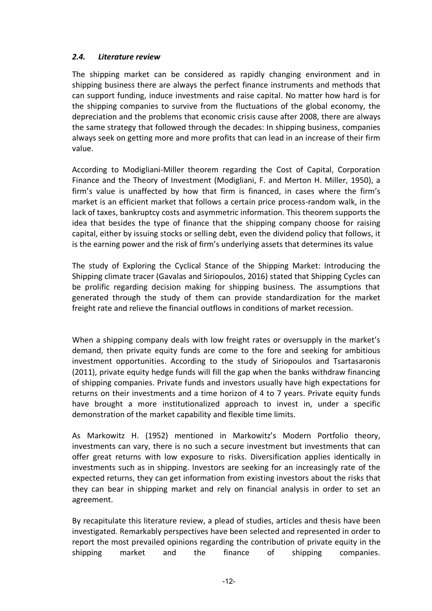#### <span id="page-17-0"></span>*2.4. Literature review*

The shipping market can be considered as rapidly changing environment and in shipping business there are always the perfect finance instruments and methods that can support funding, induce investments and raise capital. No matter how hard is for the shipping companies to survive from the fluctuations of the global economy, the depreciation and the problems that economic crisis cause after 2008, there are always the same strategy that followed through the decades: In shipping business, companies always seek on getting more and more profits that can lead in an increase of their firm value.

According to Modigliani-Miller theorem regarding the Cost of Capital, Corporation Finance and the Theory of Investment (Modigliani, F. and Merton H. Miller, 1950), a firm's value is unaffected by how that firm is financed, in cases where the firm's market is an efficient market that follows a certain price process-random walk, in the lack of taxes, bankruptcy costs and asymmetric information. This theorem supports the idea that besides the type of finance that the shipping company choose for raising capital, either by issuing stocks or selling debt, even the dividend policy that follows, it is the earning power and the risk of firm's underlying assets that determines its value

The study of Exploring the Cyclical Stance of the Shipping Market: Introducing the Shipping climate tracer (Gavalas and Siriopoulos, 2016) stated that Shipping Cycles can be prolific regarding decision making for shipping business. The assumptions that generated through the study of them can provide standardization for the market freight rate and relieve the financial outflows in conditions of market recession.

When a shipping company deals with low freight rates or oversupply in the market's demand, then private equity funds are come to the fore and seeking for ambitious investment opportunities. According to the study of Siriopoulos and Tsartasaronis (2011), private equity hedge funds will fill the gap when the banks withdraw financing of shipping companies. Private funds and investors usually have high expectations for returns on their investments and a time horizon of 4 to 7 years. Private equity funds have brought a more institutionalized approach to invest in, under a specific demonstration of the market capability and flexible time limits.

As Markowitz H. (1952) mentioned in Markowitz's Modern Portfolio theory, investments can vary, there is no such a secure investment but investments that can offer great returns with low exposure to risks. Diversification applies identically in investments such as in shipping. Investors are seeking for an increasingly rate of the expected returns, they can get information from existing investors about the risks that they can bear in shipping market and rely on financial analysis in order to set an agreement.

By recapitulate this literature review, a plead of studies, articles and thesis have been investigated. Remarkably perspectives have been selected and represented in order to report the most prevailed opinions regarding the contribution of private equity in the shipping market and the finance of shipping companies.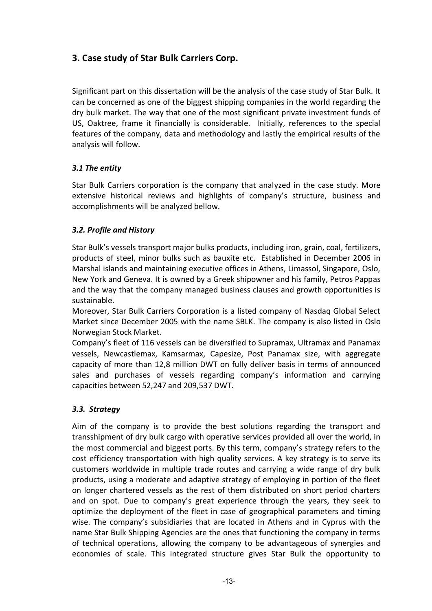# <span id="page-18-0"></span>**3. Case study of Star Bulk Carriers Corp.**

Significant part on this dissertation will be the analysis of the case study of Star Bulk. It can be concerned as one of the biggest shipping companies in the world regarding the dry bulk market. The way that one of the most significant private investment funds of US, Oaktree, frame it financially is considerable. Initially, references to the special features of the company, data and methodology and lastly the empirical results of the analysis will follow.

# <span id="page-18-1"></span>*3.1 The entity*

Star Bulk Carriers corporation is the company that analyzed in the case study. More extensive historical reviews and highlights of company's structure, business and accomplishments will be analyzed bellow.

# <span id="page-18-2"></span>*3.2. Profile and History*

Star Bulk's vessels transport major bulks products, including iron, grain, coal, fertilizers, products of steel, minor bulks such as bauxite etc. Established in December 2006 in Marshal islands and maintaining executive offices in Athens, Limassol, Singapore, Oslo, New York and Geneva. It is owned by a Greek shipowner and his family, Petros Pappas and the way that the company managed business clauses and growth opportunities is sustainable.

Moreover, Star Bulk Carriers Corporation is a listed company of Nasdaq Global Select Market since December 2005 with the name SBLK. The company is also listed in Oslo Norwegian Stock Market.

Company's fleet of 116 vessels can be diversified to Supramax, Ultramax and Panamax vessels, Newcastlemax, Kamsarmax, Capesize, Post Panamax size, with aggregate capacity of more than 12,8 million DWT on fully deliver basis in terms of announced sales and purchases of vessels regarding company's information and carrying capacities between 52,247 and 209,537 DWT.

# <span id="page-18-3"></span>*3.3. Strategy*

Aim of the company is to provide the best solutions regarding the transport and transshipment of dry bulk cargo with operative services provided all over the world, in the most commercial and biggest ports. By this term, company's strategy refers to the cost efficiency transportation with high quality services. A key strategy is to serve its customers worldwide in multiple trade routes and carrying a wide range of dry bulk products, using a moderate and adaptive strategy of employing in portion of the fleet on longer chartered vessels as the rest of them distributed on short period charters and on spot. Due to company's great experience through the years, they seek to optimize the deployment of the fleet in case of geographical parameters and timing wise. The company's subsidiaries that are located in Athens and in Cyprus with the name Star Bulk Shipping Agencies are the ones that functioning the company in terms of technical operations, allowing the company to be advantageous of synergies and economies of scale. This integrated structure gives Star Bulk the opportunity to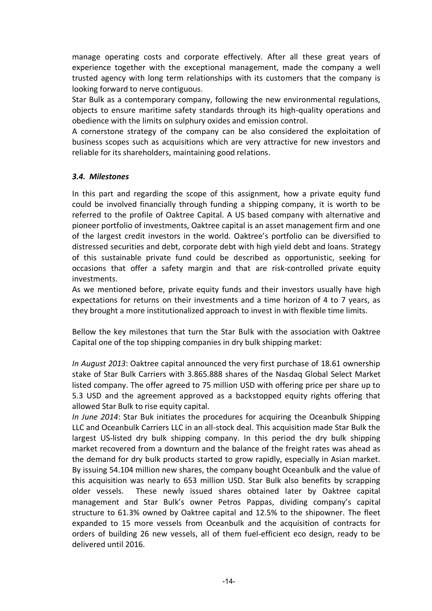manage operating costs and corporate effectively. After all these great years of experience together with the exceptional management, made the company a well trusted agency with long term relationships with its customers that the company is looking forward to nerve contiguous.

Star Bulk as a contemporary company, following the new environmental regulations, objects to ensure maritime safety standards through its high-quality operations and obedience with the limits on sulphury oxides and emission control.

A cornerstone strategy of the company can be also considered the exploitation of business scopes such as acquisitions which are very attractive for new investors and reliable for its shareholders, maintaining good relations.

#### <span id="page-19-0"></span>*3.4. Milestones*

In this part and regarding the scope of this assignment, how a private equity fund could be involved financially through funding a shipping company, it is worth to be referred to the profile of Oaktree Capital. A US based company with alternative and pioneer portfolio of investments, Oaktree capital is an asset management firm and one of the largest credit investors in the world. Oaktree's portfolio can be diversified to distressed securities and debt, corporate debt with high yield debt and loans. Strategy of this sustainable private fund could be described as opportunistic, seeking for occasions that offer a safety margin and that are risk-controlled private equity investments.

As we mentioned before, private equity funds and their investors usually have high expectations for returns on their investments and a time horizon of 4 to 7 years, as they brought a more institutionalized approach to invest in with flexible time limits.

Bellow the key milestones that turn the Star Bulk with the association with Oaktree Capital one of the top shipping companies in dry bulk shipping market:

*In August 2013*: Oaktree capital announced the very first purchase of 18.61 ownership stake of Star Bulk Carriers with 3.865.888 shares of the Nasdaq Global Select Market listed company. The offer agreed to 75 million USD with offering price per share up to 5.3 USD and the agreement approved as a backstopped equity rights offering that allowed Star Bulk to rise equity capital.

*In June 2014*: Star Buk initiates the procedures for acquiring the Oceanbulk Shipping LLC and Oceanbulk Carriers LLC in an all-stock deal. This acquisition made Star Bulk the largest US-listed dry bulk shipping company. In this period the dry bulk shipping market recovered from a downturn and the balance of the freight rates was ahead as the demand for dry bulk products started to grow rapidly, especially in Asian market. By issuing 54.104 million new shares, the company bought Oceanbulk and the value of this acquisition was nearly to 653 million USD. Star Bulk also benefits by scrapping older vessels. These newly issued shares obtained later by Oaktree capital management and Star Bulk's owner Petros Pappas, dividing company's capital structure to 61.3% owned by Oaktree capital and 12.5% to the shipowner. The fleet expanded to 15 more vessels from Oceanbulk and the acquisition of contracts for orders of building 26 new vessels, all of them fuel-efficient eco design, ready to be delivered until 2016.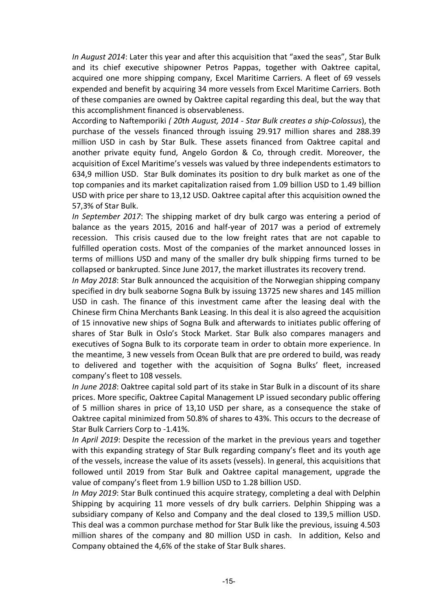*In August 2014*: Later this year and after this acquisition that "axed the seas", Star Bulk and its chief executive shipowner Petros Pappas, together with Oaktree capital, acquired one more shipping company, Excel Maritime Carriers. A fleet of 69 vessels expended and benefit by acquiring 34 more vessels from Excel Maritime Carriers. Both of these companies are owned by Oaktree capital regarding this deal, but the way that this accomplishment financed is observableness.

According to Naftemporiki *( 20th August, 2014 - Star Bulk creates a ship-Colossus*), the purchase of the vessels financed through issuing 29.917 million shares and 288.39 million USD in cash by Star Bulk. These assets financed from Oaktree capital and another private equity fund, Angelo Gordon & Co, through credit. Moreover, the acquisition of Excel Maritime's vessels was valued by three independents estimators to 634,9 million USD. Star Bulk dominates its position to dry bulk market as one of the top companies and its market capitalization raised from 1.09 billion USD to 1.49 billion USD with price per share to 13,12 USD. Oaktree capital after this acquisition owned the 57,3% of Star Bulk.

*In September 2017*: The shipping market of dry bulk cargo was entering a period of balance as the years 2015, 2016 and half-year of 2017 was a period of extremely recession. This crisis caused due to the low freight rates that are not capable to fulfilled operation costs. Most of the companies of the market announced losses in terms of millions USD and many of the smaller dry bulk shipping firms turned to be collapsed or bankrupted. Since June 2017, the market illustrates its recovery trend.

*In May 2018*: Star Bulk announced the acquisition of the Norwegian shipping company specified in dry bulk seaborne Sogna Bulk by issuing 13725 new shares and 145 million USD in cash. The finance of this investment came after the leasing deal with the Chinese firm China Merchants Bank Leasing. In this deal it is also agreed the acquisition of 15 innovative new ships of Sogna Bulk and afterwards to initiates public offering of shares of Star Bulk in Oslo's Stock Market. Star Bulk also compares managers and executives of Sogna Bulk to its corporate team in order to obtain more experience. In the meantime, 3 new vessels from Ocean Bulk that are pre ordered to build, was ready to delivered and together with the acquisition of Sogna Bulks' fleet, increased company's fleet to 108 vessels.

*In June 2018*: Oaktree capital sold part of its stake in Star Bulk in a discount of its share prices. More specific, Oaktree Capital Management LP issued secondary public offering of 5 million shares in price of 13,10 USD per share, as a consequence the stake of Oaktree capital minimized from 50.8% of shares to 43%. This occurs to the decrease of Star Bulk Carriers Corp to -1.41%.

*In April 2019*: Despite the recession of the market in the previous years and together with this expanding strategy of Star Bulk regarding company's fleet and its youth age of the vessels, increase the value of its assets (vessels). In general, this acquisitions that followed until 2019 from Star Bulk and Oaktree capital management, upgrade the value of company's fleet from 1.9 billion USD to 1.28 billion USD.

*In May 2019*: Star Bulk continued this acquire strategy, completing a deal with Delphin Shipping by acquiring 11 more vessels of dry bulk carriers. Delphin Shipping was a subsidiary company of Kelso and Company and the deal closed to 139,5 million USD. This deal was a common purchase method for Star Bulk like the previous, issuing 4.503 million shares of the company and 80 million USD in cash. In addition, Kelso and Company obtained the 4,6% of the stake of Star Bulk shares.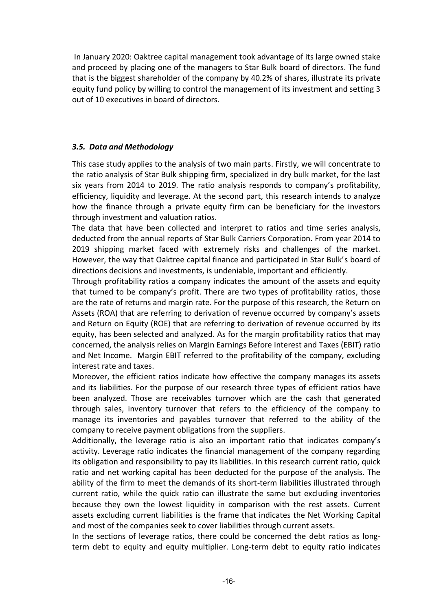In January 2020: Oaktree capital management took advantage of its large owned stake and proceed by placing one of the managers to Star Bulk board of directors. The fund that is the biggest shareholder of the company by 40.2% of shares, illustrate its private equity fund policy by willing to control the management of its investment and setting 3 out of 10 executives in board of directors.

#### <span id="page-21-0"></span>*3.5. Data and Methodology*

This case study applies to the analysis of two main parts. Firstly, we will concentrate to the ratio analysis of Star Bulk shipping firm, specialized in dry bulk market, for the last six years from 2014 to 2019. The ratio analysis responds to company's profitability, efficiency, liquidity and leverage. At the second part, this research intends to analyze how the finance through a private equity firm can be beneficiary for the investors through investment and valuation ratios.

The data that have been collected and interpret to ratios and time series analysis, deducted from the annual reports of Star Bulk Carriers Corporation. From year 2014 to 2019 shipping market faced with extremely risks and challenges of the market. However, the way that Oaktree capital finance and participated in Star Bulk's board of directions decisions and investments, is undeniable, important and efficiently.

Through profitability ratios a company indicates the amount of the assets and equity that turned to be company's profit. There are two types of profitability ratios, those are the rate of returns and margin rate. For the purpose of this research, the Return on Assets (ROA) that are referring to derivation of revenue occurred by company's assets and Return on Equity (ROE) that are referring to derivation of revenue occurred by its equity, has been selected and analyzed. As for the margin profitability ratios that may concerned, the analysis relies on Margin Earnings Before Interest and Taxes (EBIT) ratio and Net Income. Margin EBIT referred to the profitability of the company, excluding interest rate and taxes.

Moreover, the efficient ratios indicate how effective the company manages its assets and its liabilities. For the purpose of our research three types of efficient ratios have been analyzed. Those are receivables turnover which are the cash that generated through sales, inventory turnover that refers to the efficiency of the company to manage its inventories and payables turnover that referred to the ability of the company to receive payment obligations from the suppliers.

Additionally, the leverage ratio is also an important ratio that indicates company's activity. Leverage ratio indicates the financial management of the company regarding its obligation and responsibility to pay its liabilities. In this research current ratio, quick ratio and net working capital has been deducted for the purpose of the analysis. The ability of the firm to meet the demands of its short-term liabilities illustrated through current ratio, while the quick ratio can illustrate the same but excluding inventories because they own the lowest liquidity in comparison with the rest assets. Current assets excluding current liabilities is the frame that indicates the Net Working Capital and most of the companies seek to cover liabilities through current assets.

In the sections of leverage ratios, there could be concerned the debt ratios as longterm debt to equity and equity multiplier. Long-term debt to equity ratio indicates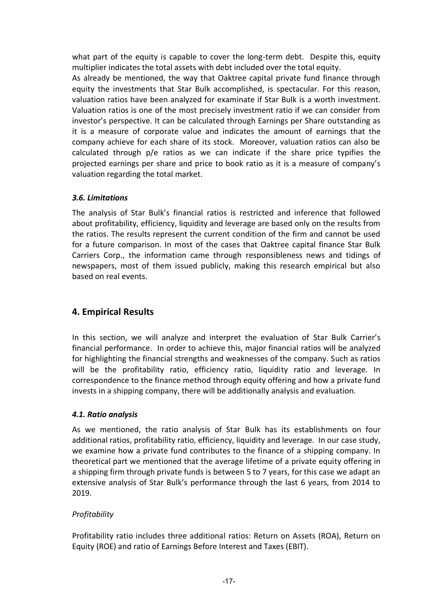what part of the equity is capable to cover the long-term debt. Despite this, equity multiplier indicates the total assets with debt included over the total equity.

As already be mentioned, the way that Oaktree capital private fund finance through equity the investments that Star Bulk accomplished, is spectacular. For this reason, valuation ratios have been analyzed for examinate if Star Bulk is a worth investment. Valuation ratios is one of the most precisely investment ratio if we can consider from investor's perspective. It can be calculated through Earnings per Share outstanding as it is a measure of corporate value and indicates the amount of earnings that the company achieve for each share of its stock. Moreover, valuation ratios can also be calculated through p/e ratios as we can indicate if the share price typifies the projected earnings per share and price to book ratio as it is a measure of company's valuation regarding the total market.

# <span id="page-22-0"></span>*3.6. Limitations*

The analysis of Star Bulk's financial ratios is restricted and inference that followed about profitability, efficiency, liquidity and leverage are based only on the results from the ratios. The results represent the current condition of the firm and cannot be used for a future comparison. In most of the cases that Oaktree capital finance Star Bulk Carriers Corp., the information came through responsibleness news and tidings of newspapers, most of them issued publicly, making this research empirical but also based on real events.

# <span id="page-22-1"></span>**4. Empirical Results**

In this section, we will analyze and interpret the evaluation of Star Bulk Carrier's financial performance. In order to achieve this, major financial ratios will be analyzed for highlighting the financial strengths and weaknesses of the company. Such as ratios will be the profitability ratio, efficiency ratio, liquidity ratio and leverage. In correspondence to the finance method through equity offering and how a private fund invests in a shipping company, there will be additionally analysis and evaluation.

#### <span id="page-22-2"></span>*4.1. Ratio analysis*

As we mentioned, the ratio analysis of Star Bulk has its establishments on four additional ratios, profitability ratio, efficiency, liquidity and leverage. In our case study, we examine how a private fund contributes to the finance of a shipping company. In theoretical part we mentioned that the average lifetime of a private equity offering in a shipping firm through private funds is between 5 to 7 years, for this case we adapt an extensive analysis of Star Bulk's performance through the last 6 years, from 2014 to 2019.

#### *Profitability*

Profitability ratio includes three additional ratios: Return on Assets (ROA), Return on Equity (ROE) and ratio of Earnings Before Interest and Taxes (EBIT).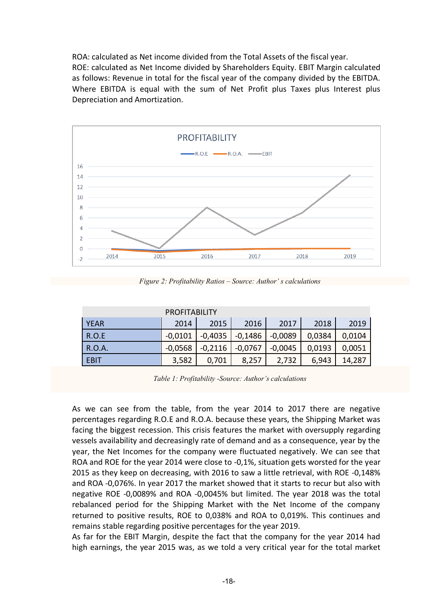ROA: calculated as Net income divided from the Total Assets of the fiscal year. ROE: calculated as Net Income divided by Shareholders Equity. EBIT Margin calculated as follows: Revenue in total for the fiscal year of the company divided by the EBITDA. Where EBITDA is equal with the sum of Net Profit plus Taxes plus Interest plus Depreciation and Amortization.



*Figure 2: Profitability Ratios – Source: Author' s calculations*

| <b>PROFITABILITY</b> |                                      |           |                       |           |        |        |  |
|----------------------|--------------------------------------|-----------|-----------------------|-----------|--------|--------|--|
| <b>YEAR</b>          | 2016<br>2018<br>2017<br>2015<br>2014 |           |                       |           |        |        |  |
| <b>R.O.E</b>         | $-0.0101$                            |           | $-0,4035$   $-0,1486$ | $-0,0089$ | 0,0384 | 0,0104 |  |
| R.O.A.               | $-0.0568$                            | $-0,2116$ | $\mid$ -0,0767        | $-0,0045$ | 0,0193 | 0,0051 |  |
| <b>EBIT</b>          | 3,582                                | 0,701     | 8,257                 | 2,732     | 6,943  | 14,287 |  |

*Table 1: Profitability -Source: Author's calculations*

As we can see from the table, from the year 2014 to 2017 there are negative percentages regarding R.O.E and R.O.A. because these years, the Shipping Market was facing the biggest recession. This crisis features the market with oversupply regarding vessels availability and decreasingly rate of demand and as a consequence, year by the year, the Net Incomes for the company were fluctuated negatively. We can see that ROA and ROE for the year 2014 were close to -0,1%, situation gets worsted for the year 2015 as they keep on decreasing, with 2016 to saw a little retrieval, with ROE -0,148% and ROA -0,076%. In year 2017 the market showed that it starts to recur but also with negative ROE -0,0089% and ROA -0,0045% but limited. The year 2018 was the total rebalanced period for the Shipping Market with the Net Income of the company returned to positive results, ROE to 0,038% and ROA to 0,019%. This continues and remains stable regarding positive percentages for the year 2019.

As far for the EBIT Margin, despite the fact that the company for the year 2014 had high earnings, the year 2015 was, as we told a very critical year for the total market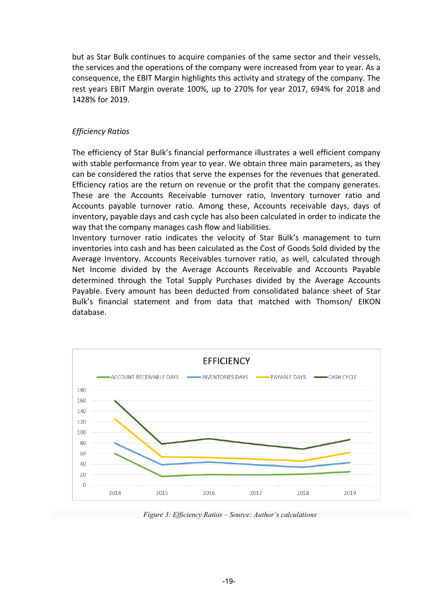but as Star Bulk continues to acquire companies of the same sector and their vessels, the services and the operations of the company were increased from year to year. As a consequence, the EBIT Margin highlights this activity and strategy of the company. The rest years EBIT Margin overate 100%, up to 270% for year 2017, 694% for 2018 and 1428% for 2019.

#### *Efficiency Ratios*

The efficiency of Star Bulk's financial performance illustrates a well efficient company with stable performance from year to year. We obtain three main parameters, as they can be considered the ratios that serve the expenses for the revenues that generated. Efficiency ratios are the return on revenue or the profit that the company generates. These are the Accounts Receivable turnover ratio, Inventory turnover ratio and Accounts payable turnover ratio. Among these, Accounts receivable days, days of inventory, payable days and cash cycle has also been calculated in order to indicate the way that the company manages cash flow and liabilities.

Inventory turnover ratio indicates the velocity of Star Bulk's management to turn inventories into cash and has been calculated as the Cost of Goods Sold divided by the Average Inventory. Accounts Receivables turnover ratio, as well, calculated through Net Income divided by the Average Accounts Receivable and Accounts Payable determined through the Total Supply Purchases divided by the Average Accounts Payable. Every amount has been deducted from consolidated balance sheet of Star Bulk's financial statement and from data that matched with Thomson/ EIKON database.



*Figure 3: Efficiency Ratios – Source: Author's calculations*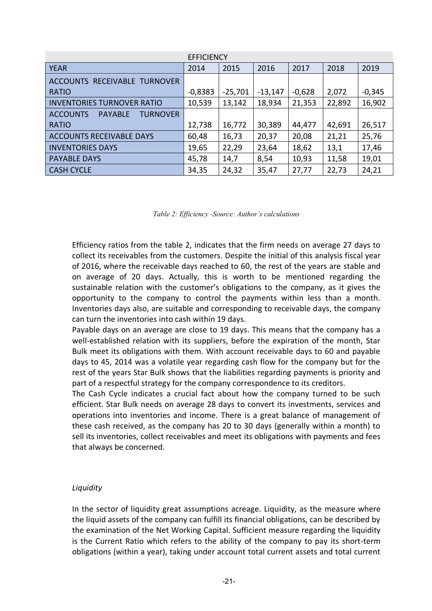| <b>EFFICIENCY</b>                                    |           |           |           |          |        |          |  |
|------------------------------------------------------|-----------|-----------|-----------|----------|--------|----------|--|
| <b>YEAR</b>                                          | 2014      | 2015      | 2016      | 2017     | 2018   | 2019     |  |
| ACCOUNTS RECEIVABLE TURNOVER                         |           |           |           |          |        |          |  |
| <b>RATIO</b>                                         | $-0,8383$ | $-25,701$ | $-13,147$ | $-0,628$ | 2,072  | $-0,345$ |  |
| <b>INVENTORIES TURNOVER RATIO</b>                    | 10,539    | 13,142    | 18,934    | 21,353   | 22,892 | 16,902   |  |
| <b>ACCOUNTS</b><br><b>TURNOVER</b><br><b>PAYABLE</b> |           |           |           |          |        |          |  |
| <b>RATIO</b>                                         | 12,738    | 16,772    | 30,389    | 44,477   | 42,691 | 26,517   |  |
| <b>ACCOUNTS RECEIVABLE DAYS</b>                      | 60,48     | 16,73     | 20,37     | 20,08    | 21,21  | 25,76    |  |
| <b>INVENTORIES DAYS</b>                              | 19,65     | 22,29     | 23,64     | 18,62    | 13,1   | 17,46    |  |
| <b>PAYABLE DAYS</b>                                  | 45,78     | 14,7      | 8,54      | 10,93    | 11,58  | 19,01    |  |
| <b>CASH CYCLE</b>                                    | 34,35     | 24,32     | 35,47     | 27,77    | 22,73  | 24,21    |  |

*Table 2: Efficiency -Source: Author's calculations*

Efficiency ratios from the table 2, indicates that the firm needs on average 27 days to collect its receivables from the customers. Despite the initial of this analysis fiscal year of 2016, where the receivable days reached to 60, the rest of the years are stable and on average of 20 days. Actually, this is worth to be mentioned regarding the sustainable relation with the customer's obligations to the company, as it gives the opportunity to the company to control the payments within less than a month. Inventories days also, are suitable and corresponding to receivable days, the company can turn the inventories into cash within 19 days.

Payable days on an average are close to 19 days. This means that the company has a well-established relation with its suppliers, before the expiration of the month, Star Bulk meet its obligations with them. With account receivable days to 60 and payable days to 45, 2014 was a volatile year regarding cash flow for the company but for the rest of the years Star Bulk shows that the liabilities regarding payments is priority and part of a respectful strategy for the company correspondence to its creditors.

The Cash Cycle indicates a crucial fact about how the company turned to be such efficient. Star Bulk needs on average 28 days to convert its investments, services and operations into inventories and income. There is a great balance of management of these cash received, as the company has 20 to 30 days (generally within a month) to sell its inventories, collect receivables and meet its obligations with payments and fees that always be concerned.

#### *Liquidity*

In the sector of liquidity great assumptions acreage. Liquidity, as the measure where the liquid assets of the company can fulfill its financial obligations, can be described by the examination of the Net Working Capital. Sufficient measure regarding the liquidity is the Current Ratio which refers to the ability of the company to pay its short-term obligations (within a year), taking under account total current assets and total current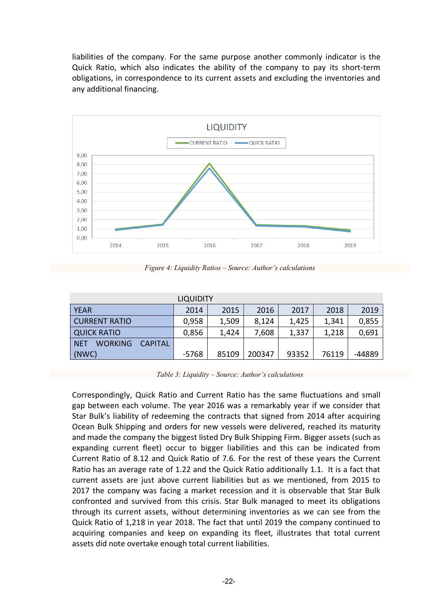liabilities of the company. For the same purpose another commonly indicator is the Quick Ratio, which also indicates the ability of the company to pay its short-term obligations, in correspondence to its current assets and excluding the inventories and any additional financing.



*Figure 4: Liquidity Ratios – Source: Author's calculations*

| <b>LIQUIDITY</b>                                                           |         |       |        |       |       |        |  |  |
|----------------------------------------------------------------------------|---------|-------|--------|-------|-------|--------|--|--|
| <b>YEAR</b><br>2019<br>2016<br>2017<br>2018<br>2014<br>2015                |         |       |        |       |       |        |  |  |
| <b>CURRENT RATIO</b><br>0,855<br>1,509<br>0,958<br>8,124<br>1,425<br>1,341 |         |       |        |       |       |        |  |  |
| <b>QUICK RATIO</b><br>0,691<br>0,856<br>7,608<br>1,424<br>1,218<br>1,337   |         |       |        |       |       |        |  |  |
| <b>WORKING</b><br><b>NET</b><br><b>CAPITAL</b>                             |         |       |        |       |       |        |  |  |
| (NWC)                                                                      | $-5768$ | 85109 | 200347 | 93352 | 76119 | -44889 |  |  |

*Table 3: Liquidity – Source: Author's calculations*

Correspondingly, Quick Ratio and Current Ratio has the same fluctuations and small gap between each volume. The year 2016 was a remarkably year if we consider that Star Bulk's liability of redeeming the contracts that signed from 2014 after acquiring Ocean Bulk Shipping and orders for new vessels were delivered, reached its maturity and made the company the biggest listed Dry Bulk Shipping Firm. Bigger assets (such as expanding current fleet) occur to bigger liabilities and this can be indicated from Current Ratio of 8.12 and Quick Ratio of 7.6. For the rest of these years the Current Ratio has an average rate of 1.22 and the Quick Ratio additionally 1.1. It is a fact that current assets are just above current liabilities but as we mentioned, from 2015 to 2017 the company was facing a market recession and it is observable that Star Bulk confronted and survived from this crisis. Star Bulk managed to meet its obligations through its current assets, without determining inventories as we can see from the Quick Ratio of 1,218 in year 2018. The fact that until 2019 the company continued to acquiring companies and keep on expanding its fleet, illustrates that total current assets did note overtake enough total current liabilities.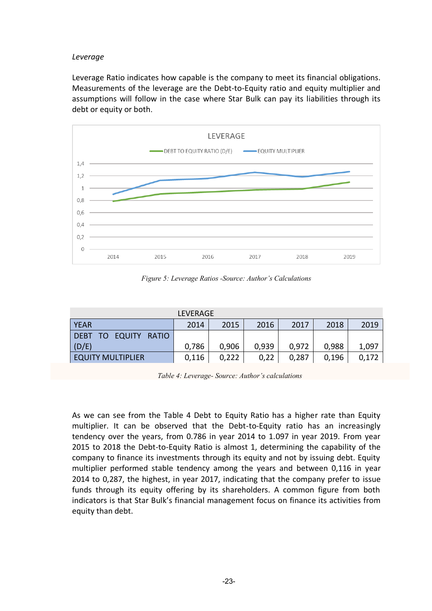#### *Leverage*

Leverage Ratio indicates how capable is the company to meet its financial obligations. Measurements of the leverage are the Debt-to-Equity ratio and equity multiplier and assumptions will follow in the case where Star Bulk can pay its liabilities through its debt or equity or both.



*Figure 5: Leverage Ratios -Source: Author's Calculations*

| LEVERAGE                                                    |       |       |       |       |       |       |  |
|-------------------------------------------------------------|-------|-------|-------|-------|-------|-------|--|
| 2016<br><b>YEAR</b><br>2014<br>2015<br>2017<br>2019<br>2018 |       |       |       |       |       |       |  |
| DEBT TO EQUITY RATIO                                        |       |       |       |       |       |       |  |
| (D/E)                                                       | 0,786 | 0,906 | 0,939 | 0,972 | 0,988 | 1,097 |  |
| <b>EQUITY MULTIPLIER</b>                                    | 0,116 | 0,222 | 0,22  | 0,287 | 0,196 | 0,172 |  |

*Table 4: Leverage- Source: Author's calculations*

As we can see from the Table 4 Debt to Equity Ratio has a higher rate than Equity multiplier. It can be observed that the Debt-to-Equity ratio has an increasingly tendency over the years, from 0.786 in year 2014 to 1.097 in year 2019. From year 2015 to 2018 the Debt-to-Equity Ratio is almost 1, determining the capability of the company to finance its investments through its equity and not by issuing debt. Equity multiplier performed stable tendency among the years and between 0,116 in year 2014 to 0,287, the highest, in year 2017, indicating that the company prefer to issue funds through its equity offering by its shareholders. A common figure from both indicators is that Star Bulk's financial management focus on finance its activities from equity than debt.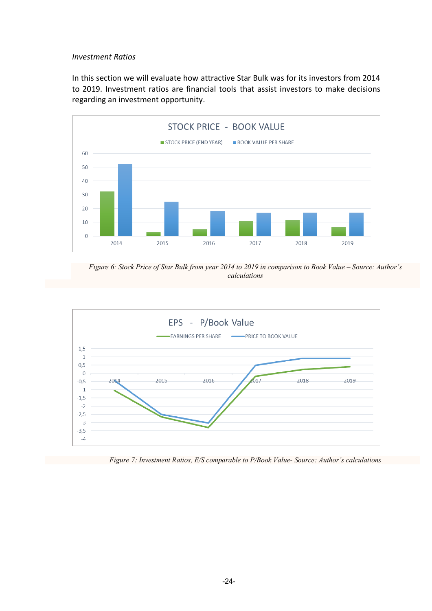#### *Investment Ratios*

In this section we will evaluate how attractive Star Bulk was for its investors from 2014 to 2019. Investment ratios are financial tools that assist investors to make decisions regarding an investment opportunity.



*Figure 6: Stock Price of Star Bulk from year 2014 to 2019 in comparison to Book Value – Source: Author's calculations*



*Figure 7: Investment Ratios, E/S comparable to P/Book Value- Source: Author's calculations*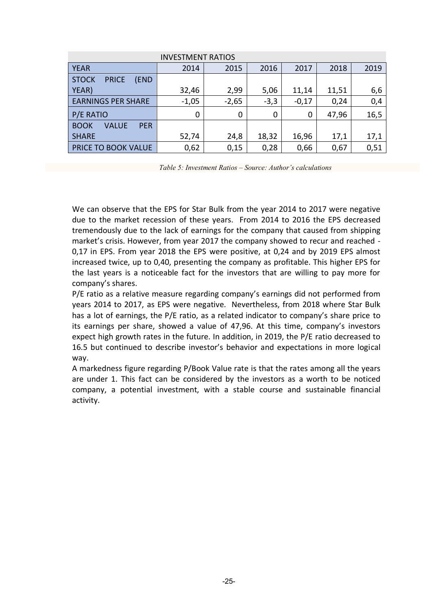| <b>INVESTMENT RATIOS</b>             |                                                        |      |       |       |       |      |  |  |  |
|--------------------------------------|--------------------------------------------------------|------|-------|-------|-------|------|--|--|--|
| <b>YEAR</b>                          | 2019<br>2014<br>2016<br>2018<br>2015<br>2017           |      |       |       |       |      |  |  |  |
| <b>STOCK</b><br><b>PRICE</b><br>(END |                                                        |      |       |       |       |      |  |  |  |
| YEAR)                                | 2,99<br>32,46<br>11,51<br>5,06<br>11,14<br>6,6         |      |       |       |       |      |  |  |  |
| <b>EARNINGS PER SHARE</b>            | 0,4<br>$-1,05$<br>$-3,3$<br>$-2,65$<br>$-0,17$<br>0,24 |      |       |       |       |      |  |  |  |
| P/E RATIO                            | 0                                                      | 0    | 0     | 0     | 47,96 | 16,5 |  |  |  |
| <b>PER</b><br><b>BOOK</b><br>VALUE   |                                                        |      |       |       |       |      |  |  |  |
| <b>SHARE</b>                         | 52,74                                                  | 24,8 | 18,32 | 16,96 | 17,1  | 17,1 |  |  |  |
| PRICE TO BOOK VALUE                  | 0,62                                                   | 0,15 | 0,28  | 0,66  | 0,67  | 0,51 |  |  |  |

*Table 5: Investment Ratios – Source: Author's calculations*

We can observe that the EPS for Star Bulk from the year 2014 to 2017 were negative due to the market recession of these years. From 2014 to 2016 the EPS decreased tremendously due to the lack of earnings for the company that caused from shipping market's crisis. However, from year 2017 the company showed to recur and reached - 0,17 in EPS. From year 2018 the EPS were positive, at 0,24 and by 2019 EPS almost increased twice, up to 0,40, presenting the company as profitable. This higher EPS for the last years is a noticeable fact for the investors that are willing to pay more for company's shares.

P/E ratio as a relative measure regarding company's earnings did not performed from years 2014 to 2017, as EPS were negative. Nevertheless, from 2018 where Star Bulk has a lot of earnings, the P/E ratio, as a related indicator to company's share price to its earnings per share, showed a value of 47,96. At this time, company's investors expect high growth rates in the future. In addition, in 2019, the P/E ratio decreased to 16.5 but continued to describe investor's behavior and expectations in more logical way.

A markedness figure regarding P/Book Value rate is that the rates among all the years are under 1. This fact can be considered by the investors as a worth to be noticed company, a potential investment, with a stable course and sustainable financial activity.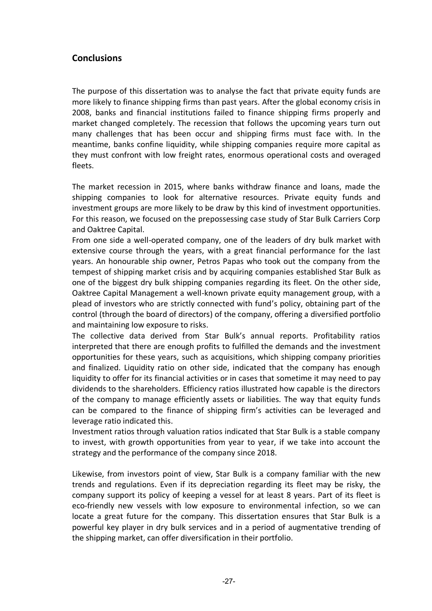# <span id="page-32-0"></span>**Conclusions**

The purpose of this dissertation was to analyse the fact that private equity funds are more likely to finance shipping firms than past years. After the global economy crisis in 2008, banks and financial institutions failed to finance shipping firms properly and market changed completely. The recession that follows the upcoming years turn out many challenges that has been occur and shipping firms must face with. In the meantime, banks confine liquidity, while shipping companies require more capital as they must confront with low freight rates, enormous operational costs and overaged fleets.

The market recession in 2015, where banks withdraw finance and loans, made the shipping companies to look for alternative resources. Private equity funds and investment groups are more likely to be draw by this kind of investment opportunities. For this reason, we focused on the prepossessing case study of Star Bulk Carriers Corp and Oaktree Capital.

From one side a well-operated company, one of the leaders of dry bulk market with extensive course through the years, with a great financial performance for the last years. An honourable ship owner, Petros Papas who took out the company from the tempest of shipping market crisis and by acquiring companies established Star Bulk as one of the biggest dry bulk shipping companies regarding its fleet. On the other side, Oaktree Capital Management a well-known private equity management group, with a plead of investors who are strictly connected with fund's policy, obtaining part of the control (through the board of directors) of the company, offering a diversified portfolio and maintaining low exposure to risks.

The collective data derived from Star Bulk's annual reports. Profitability ratios interpreted that there are enough profits to fulfilled the demands and the investment opportunities for these years, such as acquisitions, which shipping company priorities and finalized. Liquidity ratio on other side, indicated that the company has enough liquidity to offer for its financial activities or in cases that sometime it may need to pay dividends to the shareholders. Efficiency ratios illustrated how capable is the directors of the company to manage efficiently assets or liabilities. The way that equity funds can be compared to the finance of shipping firm's activities can be leveraged and leverage ratio indicated this.

Investment ratios through valuation ratios indicated that Star Bulk is a stable company to invest, with growth opportunities from year to year, if we take into account the strategy and the performance of the company since 2018.

Likewise, from investors point of view, Star Bulk is a company familiar with the new trends and regulations. Even if its depreciation regarding its fleet may be risky, the company support its policy of keeping a vessel for at least 8 years. Part of its fleet is eco-friendly new vessels with low exposure to environmental infection, so we can locate a great future for the company. This dissertation ensures that Star Bulk is a powerful key player in dry bulk services and in a period of augmentative trending of the shipping market, can offer diversification in their portfolio.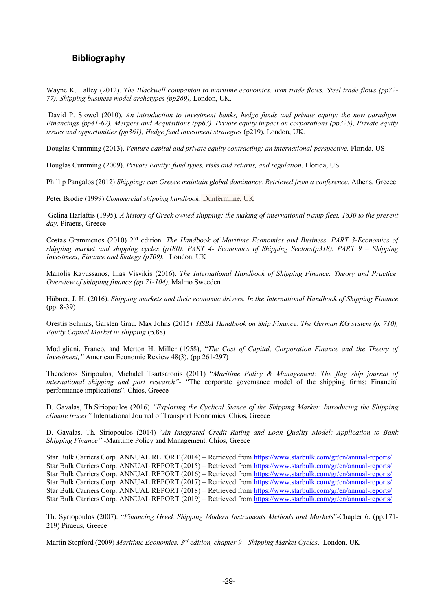# <span id="page-34-0"></span>**Bibliography**

Wayne K. Talley (2012). *The Blackwell companion to maritime economics. Iron trade flows, Steel trade flows (pp72- 77), Shipping business model archetypes (pp269),* London, UK.

David P. Stowel (2010). An introduction to investment banks, hedge funds and private equity: the new paradigm. *Financings (pp41-62), Mergers and Acquisitions (pp63). Private equity impact on corporations (pp325), Private equity issues and opportunities (pp361), Hedge fund investment strategies* (p219), London, UK.

Douglas Cumming (2013). *Venture capital and private equity contracting: an international perspective.* Florida, US

Douglas Cumming (2009). *Private Equity: fund types, risks and returns, and regulation*. Florida, US

Phillip Pangalos (2012) *Shipping: can Greece maintain global dominance. Retrieved from a conference*. Athens, Greece

Peter Brodie (1999) *Commercial shipping handbook*. Dunfermline, UK

Gelina Harlaftis (1995). *A history of Greek owned shipping: the making of international tramp fleet, 1830 to the present day*. Piraeus, Greece

Costas Grammenos (2010) 2nd edition. *The Handbook of Maritime Economics and Business. PART 3-Economics of shipping market and shipping cycles (p180). PART 4- Economics of Shipping Sectors(p318). PART 9 – Shipping Investment, Finance and Stategy (p709).* London, UK

Manolis Kavussanos, Ilias Visvikis (2016). *The International Handbook of Shipping Finance: Theory and Practice. Overview of shipping finance (pp 71-104).* Malmo Sweeden

Hübner, J. H. (2016). *Shipping markets and their economic drivers. In the International Handbook of Shipping Finance* (pp. 8-39)

Orestis Schinas, Garsten Grau, Max Johns (2015). *HSBA Handbook on Ship Finance. The German KG system (p. 710), Equity Capital Market in shipping* (p.88)

Modigliani, Franco, and Merton H. Miller (1958), "*The Cost of Capital, Corporation Finance and the Theory of Investment,"* American Economic Review 48(3), (pp 261-297)

Theodoros Siripoulos, Michalel Tsartsaronis (2011) "*Maritime Policy & Management: The flag ship journal of international shipping and port research"-* "The corporate governance model of the shipping firms: Financial performance implications". Chios, Greece

D. Gavalas, Th.Siriopoulos (2016) *"Exploring the Cyclical Stance of the Shipping Market: Introducing the Shipping climate tracer"* International Journal of Transport Economics. Chios, Greece

D. Gavalas, Th. Siriopoulos (2014) "*An Integrated Credit Rating and Loan Quality Model: Application to Bank Shipping Finance"* -Maritime Policy and Management. Chios, Greece

Star Bulk Carriers Corp. ANNUAL REPORT (2014) – Retrieved fro[m https://www.starbulk.com/gr/en/annual-reports/](https://www.starbulk.com/gr/en/annual-reports/) Star Bulk Carriers Corp. ANNUAL REPORT (2015) – Retrieved fro[m https://www.starbulk.com/gr/en/annual-reports/](https://www.starbulk.com/gr/en/annual-reports/) Star Bulk Carriers Corp. ANNUAL REPORT (2016) – Retrieved fro[m https://www.starbulk.com/gr/en/annual-reports/](https://www.starbulk.com/gr/en/annual-reports/) Star Bulk Carriers Corp. ANNUAL REPORT (2017) – Retrieved fro[m https://www.starbulk.com/gr/en/annual-reports/](https://www.starbulk.com/gr/en/annual-reports/) Star Bulk Carriers Corp. ANNUAL REPORT (2018) – Retrieved fro[m https://www.starbulk.com/gr/en/annual-reports/](https://www.starbulk.com/gr/en/annual-reports/) Star Bulk Carriers Corp. ANNUAL REPORT (2019) – Retrieved fro[m https://www.starbulk.com/gr/en/annual-reports/](https://www.starbulk.com/gr/en/annual-reports/)

Th. Syriopoulos (2007). "*Financing Greek Shipping Modern Instruments Methods and Markets*"-Chapter 6. (pp.171- 219) Piraeus, Greece

Martin Stopford (2009) *Maritime Economics, 3rd edition, chapter 9 - Shipping Market Cycles*. London, UK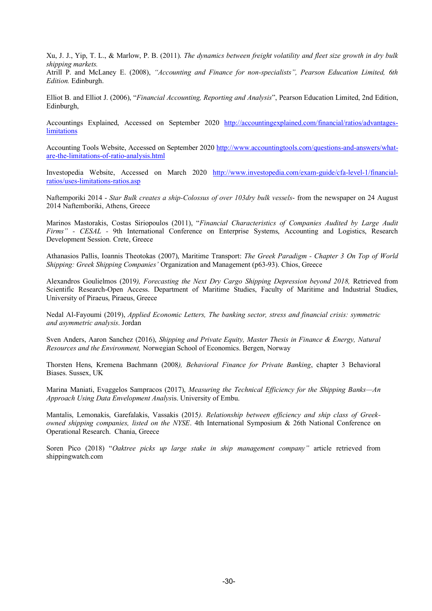Xu, J. J., Yip, T. L., & Marlow, P. B. (2011). *The dynamics between freight volatility and fleet size growth in dry bulk shipping markets.*

Atrill P. and McLaney E. (2008), *"Accounting and Finance for non-specialists", Pearson Education Limited, 6th Edition.* Edinburgh.

Elliot B. and Elliot J. (2006), "*Financial Accounting, Reporting and Analysis*", Pearson Education Limited, 2nd Edition, Edinburgh,

Accountings Explained, Accessed on September 2020 [http://accountingexplained.com/financial/ratios/advantages](http://accountingexplained.com/financial/ratios/advantages-limitations)[limitations](http://accountingexplained.com/financial/ratios/advantages-limitations)

Accounting Tools Website, Accessed on September 2020 [http://www.accountingtools.com/questions-and-answers/what](http://www.accountingtools.com/questions-and-answers/what-are-the-limitations-of-ratio-analysis.html)[are-the-limitations-of-ratio-analysis.html](http://www.accountingtools.com/questions-and-answers/what-are-the-limitations-of-ratio-analysis.html)

Investopedia Website, Accessed on March 2020 [http://www.investopedia.com/exam-guide/cfa-level-1/financial](http://www.investopedia.com/exam-guide/cfa-level-1/financial-ratios/uses-limitations-ratios.asp)[ratios/uses-limitations-ratios.asp](http://www.investopedia.com/exam-guide/cfa-level-1/financial-ratios/uses-limitations-ratios.asp)

Naftemporiki 2014 - *Star Bulk creates a ship-Colossus of over 103dry bulk vessels*- from the newspaper on 24 August 2014 Naftemboriki, Athens, Greece

Marinos Mastorakis, Costas Siriopoulos (2011), "*Financial Characteristics of Companies Audited by Large Audit Firms" - CESAL -* 9th International Conference on Enterprise Systems, Accounting and Logistics, Research Development Session*.* Crete, Greece

Athanasios Pallis, Ioannis Theotokas (2007), Maritime Transport: *The Greek Paradigm - Chapter 3 On Top of World Shipping: Greek Shipping Companies'* Organization and Management (p63-93). Chios, Greece

Alexandros Goulielmos (2019), Forecasting the Next Dry Cargo Shipping Depression beyond 2018, Retrieved from Scientific Research-Open Access. Department of Maritime Studies, Faculty of Maritime and Industrial Studies, University of Piraeus, Piraeus, Greece

Nedal Al-Fayoumi (2019), *Applied Economic Letters, The banking sector, stress and financial crisis: symmetric and asymmetric analysis*. Jordan

Sven Anders, Aaron Sanchez (2016), *Shipping and Private Equity, Master Thesis in Finance & Energy, Natural Resources and the Environment,* Norwegian School of Economics. Bergen, Norway

Thorsten Hens, Kremena Bachmann (2008*), Behavioral Finance for Private Banking*, chapter 3 Behavioral Biases. Sussex, UK

Marina Maniati, Evaggelos Sampracos (2017), *Measuring the Technical Efficiency for the Shipping Banks—An Approach Using Data Envelopment Analys*is. University of Embu.

Mantalis, Lemonakis, Garefalakis, Vassakis (2015*). Relationship between efficiency and ship class of Greekowned shipping companies, listed on the NYSE*. 4th International Symposium & 26th National Conference on Operational Research. Chania, Greece

Soren Pico (2018) "*Oaktree picks up large stake in ship management company"* article retrieved from shippingwatch.com